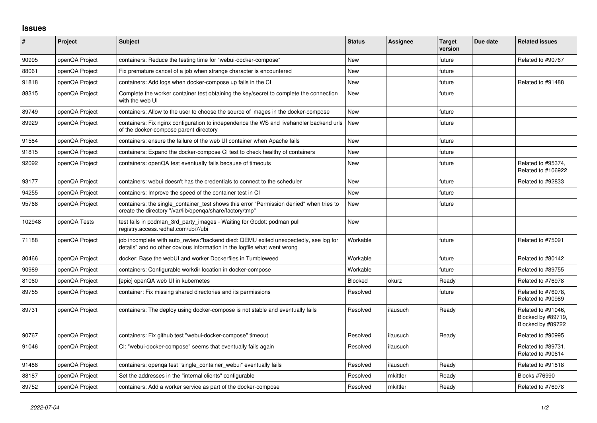## **Issues**

| $\pmb{\#}$ | <b>Project</b> | Subject                                                                                                                                                          | <b>Status</b> | <b>Assignee</b> | <b>Target</b><br>version | Due date | <b>Related issues</b>                                         |
|------------|----------------|------------------------------------------------------------------------------------------------------------------------------------------------------------------|---------------|-----------------|--------------------------|----------|---------------------------------------------------------------|
| 90995      | openQA Project | containers: Reduce the testing time for "webui-docker-compose"                                                                                                   | <b>New</b>    |                 | future                   |          | Related to #90767                                             |
| 88061      | openQA Project | Fix premature cancel of a job when strange character is encountered                                                                                              | <b>New</b>    |                 | future                   |          |                                                               |
| 91818      | openQA Project | containers: Add logs when docker-compose up fails in the CI                                                                                                      | <b>New</b>    |                 | future                   |          | Related to #91488                                             |
| 88315      | openQA Project | Complete the worker container test obtaining the key/secret to complete the connection<br>with the web UI                                                        | <b>New</b>    |                 | future                   |          |                                                               |
| 89749      | openQA Project | containers: Allow to the user to choose the source of images in the docker-compose                                                                               | <b>New</b>    |                 | future                   |          |                                                               |
| 89929      | openQA Project | containers: Fix nginx configuration to independence the WS and livehandler backend urls<br>of the docker-compose parent directory                                | <b>New</b>    |                 | future                   |          |                                                               |
| 91584      | openQA Project | containers: ensure the failure of the web UI container when Apache fails                                                                                         | <b>New</b>    |                 | future                   |          |                                                               |
| 91815      | openQA Project | containers: Expand the docker-compose CI test to check healthy of containers                                                                                     | <b>New</b>    |                 | future                   |          |                                                               |
| 92092      | openQA Project | containers: openQA test eventually fails because of timeouts                                                                                                     | <b>New</b>    |                 | future                   |          | Related to #95374.<br>Related to #106922                      |
| 93177      | openQA Project | containers: webui doesn't has the credentials to connect to the scheduler                                                                                        | <b>New</b>    |                 | future                   |          | Related to #92833                                             |
| 94255      | openQA Project | containers: Improve the speed of the container test in CI                                                                                                        | <b>New</b>    |                 | future                   |          |                                                               |
| 95768      | openQA Project | containers: the single container test shows this error "Permission denied" when tries to<br>create the directory "/var/lib/openqa/share/factory/tmp"             | <b>New</b>    |                 | future                   |          |                                                               |
| 102948     | openQA Tests   | test fails in podman 3rd party images - Waiting for Godot: podman pull<br>registry.access.redhat.com/ubi7/ubi                                                    | <b>New</b>    |                 |                          |          |                                                               |
| 71188      | openQA Project | job incomplete with auto review:"backend died: QEMU exited unexpectedly, see log for<br>details" and no other obvious information in the logfile what went wrong | Workable      |                 | future                   |          | Related to #75091                                             |
| 80466      | openQA Project | docker: Base the webUI and worker Dockerfiles in Tumbleweed                                                                                                      | Workable      |                 | future                   |          | Related to #80142                                             |
| 90989      | openQA Project | containers: Configurable workdir location in docker-compose                                                                                                      | Workable      |                 | future                   |          | Related to #89755                                             |
| 81060      | openQA Project | [epic] openQA web UI in kubernetes                                                                                                                               | Blocked       | okurz           | Ready                    |          | Related to #76978                                             |
| 89755      | openQA Project | container: Fix missing shared directories and its permissions                                                                                                    | Resolved      |                 | future                   |          | Related to #76978,<br>Related to #90989                       |
| 89731      | openQA Project | containers: The deploy using docker-compose is not stable and eventually fails                                                                                   | Resolved      | ilausuch        | Ready                    |          | Related to #91046.<br>Blocked by #89719,<br>Blocked by #89722 |
| 90767      | openQA Project | containers: Fix github test "webui-docker-compose" timeout                                                                                                       | Resolved      | ilausuch        | Ready                    |          | Related to #90995                                             |
| 91046      | openQA Project | CI: "webui-docker-compose" seems that eventually fails again                                                                                                     | Resolved      | ilausuch        |                          |          | Related to #89731,<br>Related to #90614                       |
| 91488      | openQA Project | containers: openga test "single_container_webui" eventually fails                                                                                                | Resolved      | ilausuch        | Ready                    |          | Related to #91818                                             |
| 88187      | openQA Project | Set the addresses in the "internal clients" configurable                                                                                                         | Resolved      | mkittler        | Ready                    |          | Blocks #76990                                                 |
| 89752      | openQA Project | containers: Add a worker service as part of the docker-compose                                                                                                   | Resolved      | mkittler        | Ready                    |          | Related to #76978                                             |